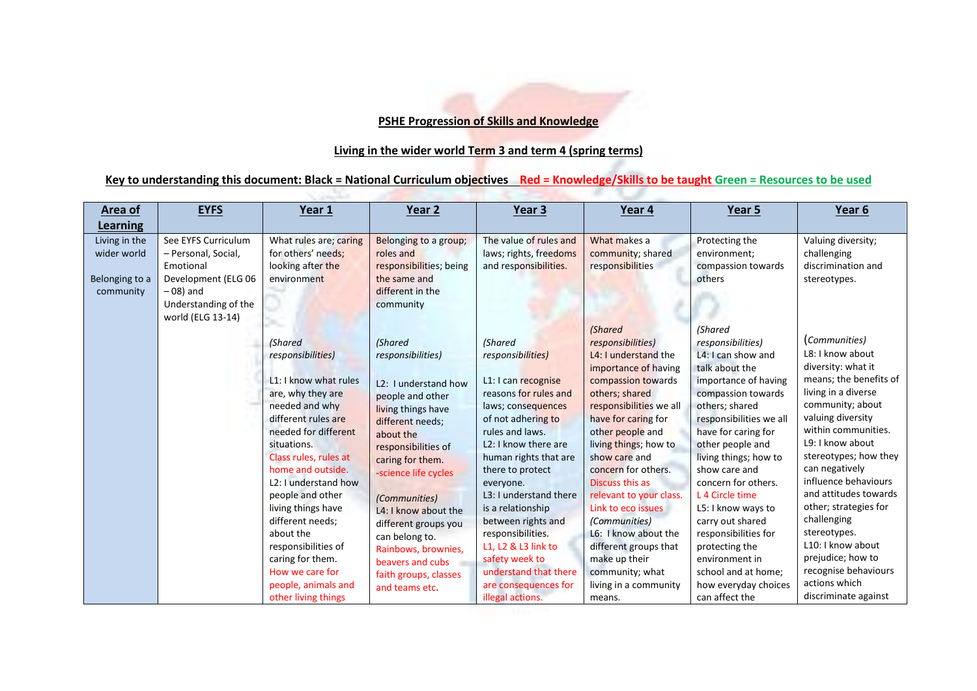## **PSHE Progression of Skills and Knowledge**

## **Living in the wider world Term 3 and term 4 (spring terms)**

## **Key to understanding this document: Black = National Curriculum objectives Red = Knowledge/Skills to be taught Green = Resources to be used**

| Area of                                                     | <b>EYFS</b>                                                                                                                                | Year 1                                                                                                                                                                                                                                                                                                                                                                                                                                      | Year 2                                                                                                                                                                                                                                                                                                                                                                                                | Year <sub>3</sub>                                                                                                                                                                                                                                                                                                                                                                                                                                                      | Year 4                                                                                                                                                                                                                                                                                                                                                                                                                                                                          | Year 5                                                                                                                                                                                                                                                                                                                                                                                                                                                                | Year 6                                                                                                                                                                                                                                                                                                                                                                                                                                                      |
|-------------------------------------------------------------|--------------------------------------------------------------------------------------------------------------------------------------------|---------------------------------------------------------------------------------------------------------------------------------------------------------------------------------------------------------------------------------------------------------------------------------------------------------------------------------------------------------------------------------------------------------------------------------------------|-------------------------------------------------------------------------------------------------------------------------------------------------------------------------------------------------------------------------------------------------------------------------------------------------------------------------------------------------------------------------------------------------------|------------------------------------------------------------------------------------------------------------------------------------------------------------------------------------------------------------------------------------------------------------------------------------------------------------------------------------------------------------------------------------------------------------------------------------------------------------------------|---------------------------------------------------------------------------------------------------------------------------------------------------------------------------------------------------------------------------------------------------------------------------------------------------------------------------------------------------------------------------------------------------------------------------------------------------------------------------------|-----------------------------------------------------------------------------------------------------------------------------------------------------------------------------------------------------------------------------------------------------------------------------------------------------------------------------------------------------------------------------------------------------------------------------------------------------------------------|-------------------------------------------------------------------------------------------------------------------------------------------------------------------------------------------------------------------------------------------------------------------------------------------------------------------------------------------------------------------------------------------------------------------------------------------------------------|
| Learning                                                    |                                                                                                                                            |                                                                                                                                                                                                                                                                                                                                                                                                                                             |                                                                                                                                                                                                                                                                                                                                                                                                       |                                                                                                                                                                                                                                                                                                                                                                                                                                                                        |                                                                                                                                                                                                                                                                                                                                                                                                                                                                                 |                                                                                                                                                                                                                                                                                                                                                                                                                                                                       |                                                                                                                                                                                                                                                                                                                                                                                                                                                             |
| Living in the<br>wider world<br>Belonging to a<br>community | See EYFS Curriculum<br>- Personal, Social,<br>Emotional<br>Development (ELG 06<br>$-08$ ) and<br>Understanding of the<br>world (ELG 13-14) | What rules are; caring<br>for others' needs;<br>looking after the<br>environment                                                                                                                                                                                                                                                                                                                                                            | Belonging to a group;<br>roles and<br>responsibilities; being<br>the same and<br>different in the<br>community                                                                                                                                                                                                                                                                                        | The value of rules and<br>laws; rights, freedoms<br>and responsibilities.                                                                                                                                                                                                                                                                                                                                                                                              | What makes a<br>community; shared<br>responsibilities                                                                                                                                                                                                                                                                                                                                                                                                                           | Protecting the<br>environment;<br>compassion towards<br>others                                                                                                                                                                                                                                                                                                                                                                                                        | Valuing diversity;<br>challenging<br>discrimination and<br>stereotypes.                                                                                                                                                                                                                                                                                                                                                                                     |
|                                                             |                                                                                                                                            | <i>(Shared</i><br>responsibilities)<br>L1: I know what rules<br>are, why they are<br>needed and why<br>different rules are<br>needed for different<br>situations.<br>Class rules, rules at<br>home and outside.<br>L <sub>2</sub> : I understand how<br>people and other<br>living things have<br>different needs;<br>about the<br>responsibilities of<br>caring for them.<br>How we care for<br>people, animals and<br>other living things | <b>(Shared</b><br>responsibilities)<br>L <sub>2</sub> : I understand how<br>people and other<br>living things have<br>different needs;<br>about the<br>responsibilities of<br>caring for them.<br>science life cycles<br><i>(Communities)</i><br>L4: I know about the<br>different groups you<br>can belong to.<br>Rainbows, brownies,<br>beavers and cubs<br>faith groups, classes<br>and teams etc. | <b>(Shared</b><br>responsibilities)<br>L1: I can recognise<br>reasons for rules and<br>laws; consequences<br>of not adhering to<br>rules and laws.<br>L <sub>2</sub> : I know there are<br>human rights that are<br>there to protect<br>everyone.<br>L <sub>3</sub> : I understand there<br>is a relationship<br>between rights and<br>responsibilities.<br>L1, L2 & L3 link to<br>safety week to<br>understand that there<br>are consequences for<br>illegal actions. | <b>(Shared</b><br>responsibilities)<br>L4: I understand the<br>importance of having<br>compassion towards<br>others; shared<br>responsibilities we all<br>have for caring for<br>other people and<br>living things; how to<br>show care and<br>concern for others.<br>Discuss this as<br>relevant to your class.<br>Link to eco issues<br>(Communities)<br>L6: I know about the<br>different groups that<br>make up their<br>community; what<br>living in a community<br>means. | (Shared<br>responsibilities)<br>L4: I can show and<br>talk about the<br>importance of having<br>compassion towards<br>others; shared<br>responsibilities we all<br>have for caring for<br>other people and<br>living things; how to<br>show care and<br>concern for others.<br>L 4 Circle time<br>L5: I know ways to<br>carry out shared<br>responsibilities for<br>protecting the<br>environment in<br>school and at home;<br>how everyday choices<br>can affect the | (Communities)<br>L8: I know about<br>diversity: what it<br>means; the benefits of<br>living in a diverse<br>community; about<br>valuing diversity<br>within communities.<br>L9: I know about<br>stereotypes; how they<br>can negatively<br>influence behaviours<br>and attitudes towards<br>other; strategies for<br>challenging<br>stereotypes.<br>L10: I know about<br>prejudice; how to<br>recognise behaviours<br>actions which<br>discriminate against |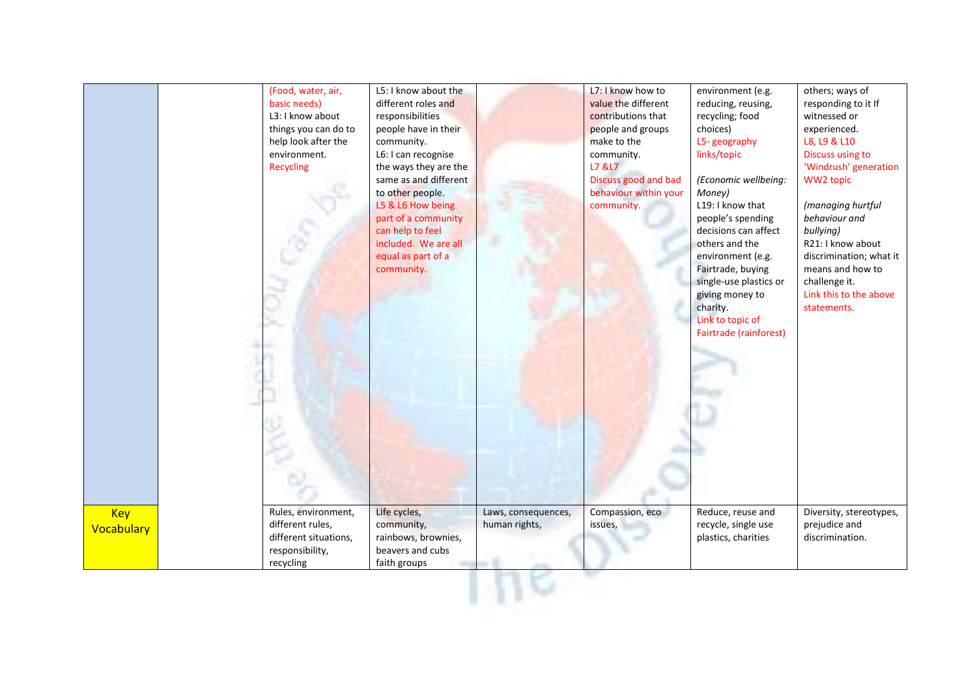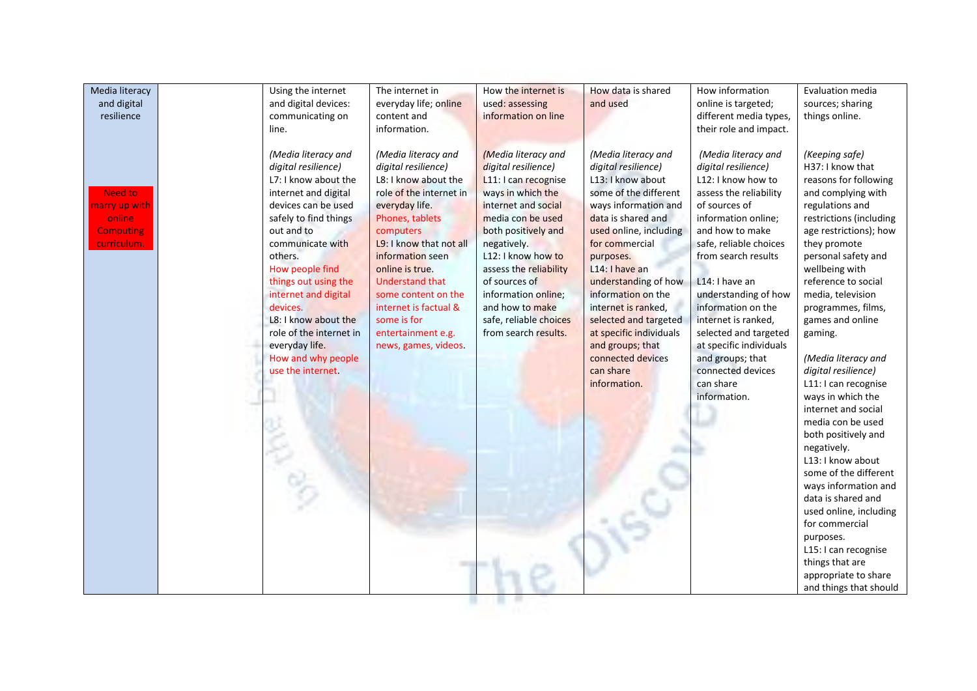| Media literacy<br>and digital                                                              | Using the internet                                                                                                                                                                                                   | The internet in                                                                                                                                                                                                               | How the internet is                                                                                                                                                                                                    | How data is shared                                                                                                                                                                                            | How information                                                                                                                                                                                                                                            | Evaluation media                                                                                                                                                                                                                                                                                                                                                                                                                                                                                                                               |
|--------------------------------------------------------------------------------------------|----------------------------------------------------------------------------------------------------------------------------------------------------------------------------------------------------------------------|-------------------------------------------------------------------------------------------------------------------------------------------------------------------------------------------------------------------------------|------------------------------------------------------------------------------------------------------------------------------------------------------------------------------------------------------------------------|---------------------------------------------------------------------------------------------------------------------------------------------------------------------------------------------------------------|------------------------------------------------------------------------------------------------------------------------------------------------------------------------------------------------------------------------------------------------------------|------------------------------------------------------------------------------------------------------------------------------------------------------------------------------------------------------------------------------------------------------------------------------------------------------------------------------------------------------------------------------------------------------------------------------------------------------------------------------------------------------------------------------------------------|
|                                                                                            | and digital devices:                                                                                                                                                                                                 | everyday life; online                                                                                                                                                                                                         | used: assessing                                                                                                                                                                                                        | and used                                                                                                                                                                                                      | online is targeted;                                                                                                                                                                                                                                        | sources; sharing                                                                                                                                                                                                                                                                                                                                                                                                                                                                                                                               |
|                                                                                            |                                                                                                                                                                                                                      |                                                                                                                                                                                                                               |                                                                                                                                                                                                                        |                                                                                                                                                                                                               |                                                                                                                                                                                                                                                            |                                                                                                                                                                                                                                                                                                                                                                                                                                                                                                                                                |
| resilience<br><b>Need to</b><br>marry up with<br>online<br><b>Computing</b><br>curriculum. | communicating on<br>line.<br>(Media literacy and<br>digital resilience)<br>L7: I know about the<br>internet and digital<br>devices can be used<br>safely to find things<br>out and to<br>communicate with<br>others. | content and<br>information.<br>(Media literacy and<br>digital resilience)<br>L8: I know about the<br>role of the internet in<br>everyday life.<br>Phones, tablets<br>computers<br>L9: I know that not all<br>information seen | information on line<br>(Media literacy and<br>digital resilience)<br>L11: I can recognise<br>ways in which the<br>internet and social<br>media con be used<br>both positively and<br>negatively.<br>L12: I know how to | (Media literacy and<br>digital resilience)<br>L13: I know about<br>some of the different<br>ways information and<br>data is shared and<br>used online, including<br>for commercial<br>purposes.               | different media types,<br>their role and impact.<br>(Media literacy and<br>digital resilience)<br>L12: I know how to<br>assess the reliability<br>of sources of<br>information online;<br>and how to make<br>safe, reliable choices<br>from search results | things online.<br>(Keeping safe)<br>H37: I know that<br>reasons for following<br>and complying with<br>regulations and<br>restrictions (including<br>age restrictions); how<br>they promote<br>personal safety and                                                                                                                                                                                                                                                                                                                             |
|                                                                                            | How people find<br>things out using the<br>internet and digital<br>devices.<br>L8: I know about the<br>role of the internet in<br>everyday life.<br>How and why people<br>use the internet.                          | online is true.<br><b>Understand that</b><br>some content on the<br>internet is factual &<br>some is for<br>entertainment e.g.<br>news, games, videos.<br>$\sim$                                                              | assess the reliability<br>of sources of<br>information online;<br>and how to make<br>safe, reliable choices<br>from search results.                                                                                    | L14: I have an<br>understanding of how<br>information on the<br>internet is ranked,<br>selected and targeted<br>at specific individuals<br>and groups; that<br>connected devices<br>can share<br>information. | L14: I have an<br>understanding of how<br>information on the<br>internet is ranked,<br>selected and targeted<br>at specific individuals<br>and groups; that<br>connected devices<br>can share<br>information.                                              | wellbeing with<br>reference to social<br>media, television<br>programmes, films,<br>games and online<br>gaming.<br>(Media literacy and<br>digital resilience)<br>L11: I can recognise<br>ways in which the<br>internet and social<br>media con be used<br>both positively and<br>negatively.<br>L13: I know about<br>some of the different<br>ways information and<br>data is shared and<br>used online, including<br>for commercial<br>purposes.<br>L15: I can recognise<br>things that are<br>appropriate to share<br>and things that should |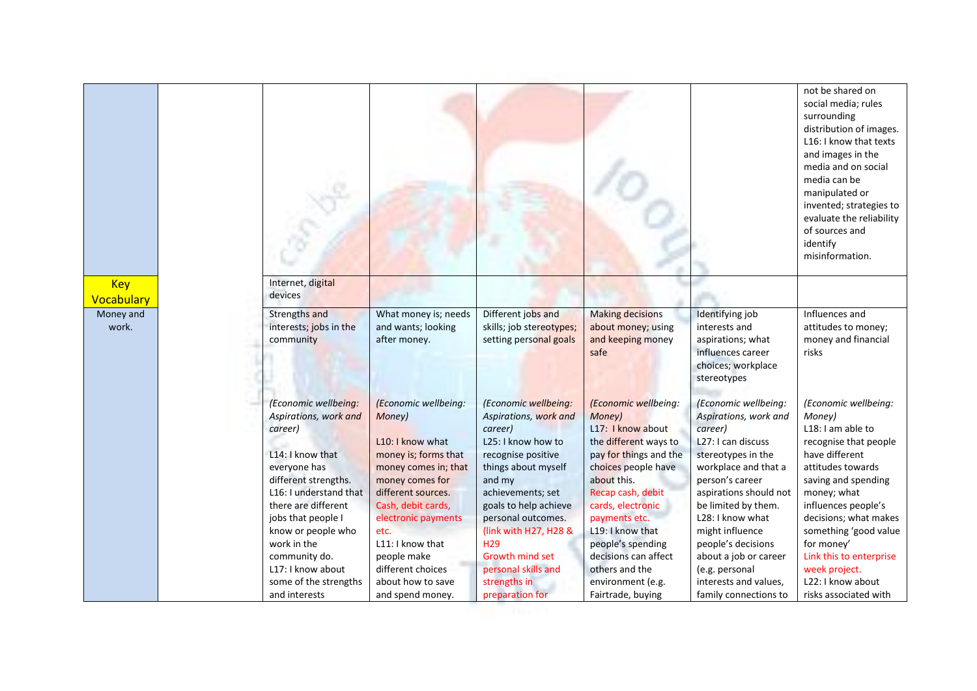|                          |                                                                                                                                                                                                                                                                                                                  |                                                                                                                                                                                                                                                                                                   |                                                                                                                                                                                                                                                                                                                                    |                                                                                                                                                                                                                                                                                                                                      |                                                                                                                                                                                                                                                                                                                                                            | not be shared on<br>social media; rules<br>surrounding<br>distribution of images.<br>L16: I know that texts<br>and images in the<br>media and on social<br>media can be<br>manipulated or<br>invented; strategies to<br>evaluate the reliability<br>of sources and<br>identify<br>misinformation.                                          |
|--------------------------|------------------------------------------------------------------------------------------------------------------------------------------------------------------------------------------------------------------------------------------------------------------------------------------------------------------|---------------------------------------------------------------------------------------------------------------------------------------------------------------------------------------------------------------------------------------------------------------------------------------------------|------------------------------------------------------------------------------------------------------------------------------------------------------------------------------------------------------------------------------------------------------------------------------------------------------------------------------------|--------------------------------------------------------------------------------------------------------------------------------------------------------------------------------------------------------------------------------------------------------------------------------------------------------------------------------------|------------------------------------------------------------------------------------------------------------------------------------------------------------------------------------------------------------------------------------------------------------------------------------------------------------------------------------------------------------|--------------------------------------------------------------------------------------------------------------------------------------------------------------------------------------------------------------------------------------------------------------------------------------------------------------------------------------------|
| <b>Key</b><br>Vocabulary | Internet, digital<br>devices                                                                                                                                                                                                                                                                                     |                                                                                                                                                                                                                                                                                                   |                                                                                                                                                                                                                                                                                                                                    |                                                                                                                                                                                                                                                                                                                                      |                                                                                                                                                                                                                                                                                                                                                            |                                                                                                                                                                                                                                                                                                                                            |
| Money and<br>work.       | <b>Strengths and</b><br>interests; jobs in the<br>community                                                                                                                                                                                                                                                      | What money is; needs<br>and wants; looking<br>after money.                                                                                                                                                                                                                                        | Different jobs and<br>skills; job stereotypes;<br>setting personal goals                                                                                                                                                                                                                                                           | <b>Making decisions</b><br>about money; using<br>and keeping money<br>safe                                                                                                                                                                                                                                                           | Identifying job<br>interests and<br>aspirations; what<br>influences career<br>choices; workplace<br>stereotypes                                                                                                                                                                                                                                            | Influences and<br>attitudes to money;<br>money and financial<br>risks                                                                                                                                                                                                                                                                      |
|                          | (Economic wellbeing:<br>Aspirations, work and<br>career)<br>L14: I know that<br>everyone has<br>different strengths.<br>L16: I understand that<br>there are different<br>jobs that people I<br>know or people who<br>work in the<br>community do.<br>L17: I know about<br>some of the strengths<br>and interests | (Economic wellbeing:<br>Money)<br>L10: I know what<br>money is; forms that<br>money comes in; that<br>money comes for<br>different sources.<br>Cash, debit cards,<br>electronic payments<br>etc.<br>L11: I know that<br>people make<br>different choices<br>about how to save<br>and spend money. | (Economic wellbeing:<br>Aspirations, work and<br>career)<br>L25: I know how to<br>recognise positive<br>things about myself<br>and my<br>achievements; set<br>goals to help achieve<br>personal outcomes.<br>(link with H27, H28 &<br>H <sub>29</sub><br>Growth mind set<br>personal skills and<br>strengths in<br>preparation for | (Economic wellbeing:<br>Money)<br>L17: I know about<br>the different ways to<br>pay for things and the<br>choices people have<br>about this.<br>Recap cash, debit<br>cards, electronic<br>payments etc.<br>L19: I know that<br>people's spending<br>decisions can affect<br>others and the<br>environment (e.g.<br>Fairtrade, buying | (Economic wellbeing:<br>Aspirations, work and<br>career)<br>L27: I can discuss<br>stereotypes in the<br>workplace and that a<br>person's career<br>aspirations should not<br>be limited by them.<br>L28: I know what<br>might influence<br>people's decisions<br>about a job or career<br>(e.g. personal<br>interests and values,<br>family connections to | (Economic wellbeing:<br>Money)<br>L18: I am able to<br>recognise that people<br>have different<br>attitudes towards<br>saving and spending<br>money; what<br>influences people's<br>decisions; what makes<br>something 'good value<br>for money'<br>Link this to enterprise<br>week project.<br>L22: I know about<br>risks associated with |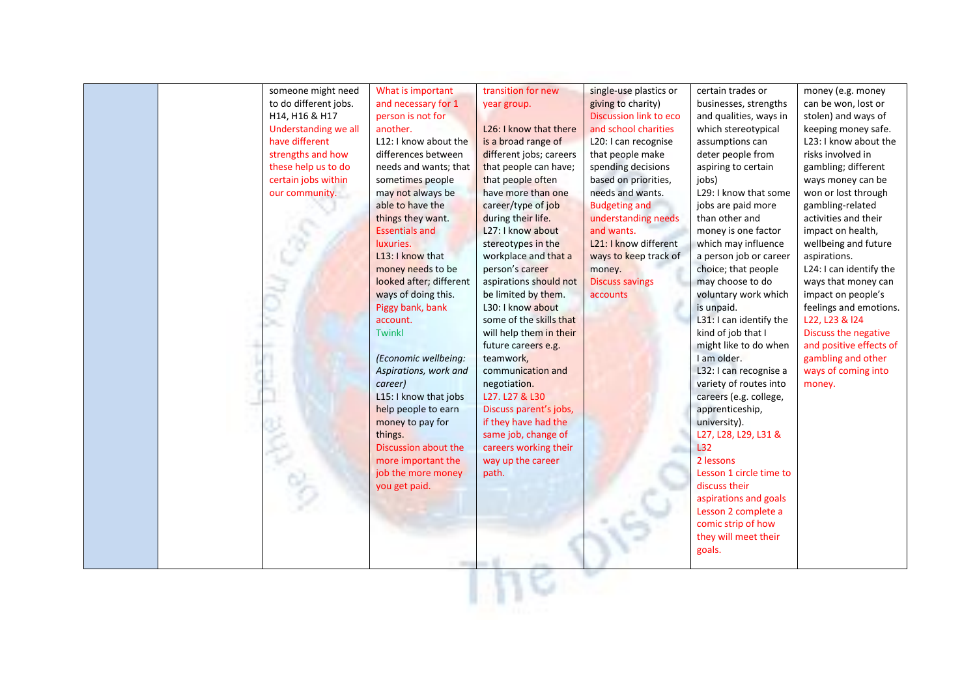